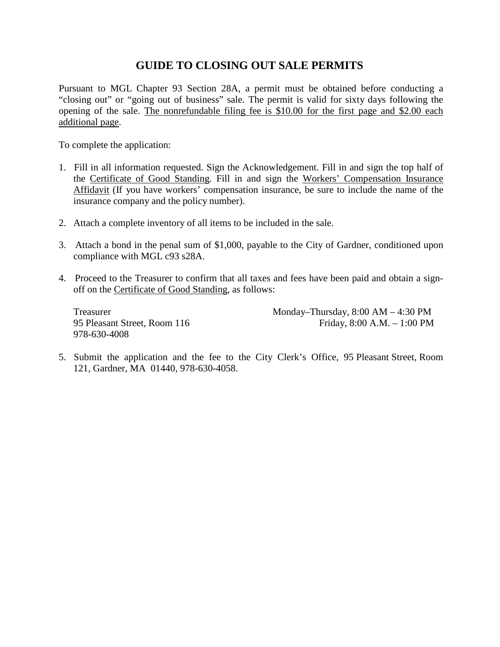# **GUIDE TO CLOSING OUT SALE PERMITS**

Pursuant to MGL Chapter 93 Section 28A, a permit must be obtained before conducting a "closing out" or "going out of business" sale. The permit is valid for sixty days following the opening of the sale. The nonrefundable filing fee is \$10.00 for the first page and \$2.00 each additional page.

To complete the application:

- 1. Fill in all information requested. Sign the Acknowledgement. Fill in and sign the top half of the Certificate of Good Standing. Fill in and sign the Workers' Compensation Insurance Affidavit (If you have workers' compensation insurance, be sure to include the name of the insurance company and the policy number).
- 2. Attach a complete inventory of all items to be included in the sale.
- 3. Attach a bond in the penal sum of \$1,000, payable to the City of Gardner, conditioned upon compliance with MGL c93 s28A.
- 4. Proceed to the Treasurer to confirm that all taxes and fees have been paid and obtain a signoff on the Certificate of Good Standing, as follows:

978-630-4008

Treasurer Monday–Thursday, 8:00 AM – 4:30 PM 95 Pleasant Street, Room 116 Friday, 8:00 A.M. – 1:00 PM

5. Submit the application and the fee to the City Clerk's Office, 95 Pleasant Street, Room 121, Gardner, MA 01440, 978-630-4058.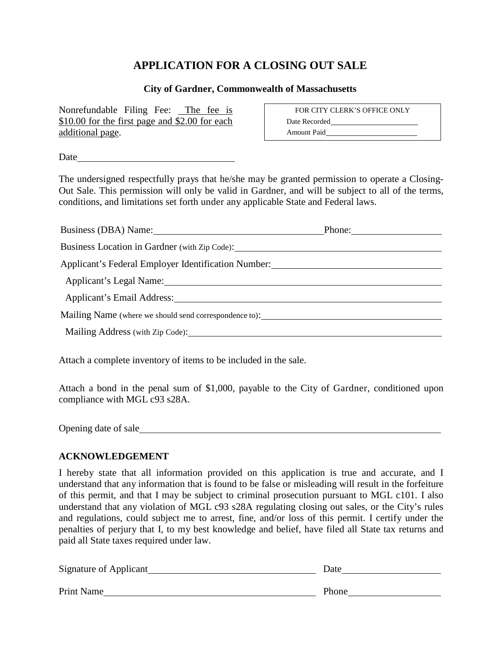# **APPLICATION FOR A CLOSING OUT SALE**

#### **City of Gardner, Commonwealth of Massachusetts**

Nonrefundable Filing Fee: The fee is \$10.00 for the first page and \$2.00 for each additional page.

FOR CITY CLERK'S OFFICE ONLY Date Recorded Amount Paid

Date and the set of the set of the set of the set of the set of the set of the set of the set of the set of the set of the set of the set of the set of the set of the set of the set of the set of the set of the set of the

The undersigned respectfully prays that he/she may be granted permission to operate a Closing-Out Sale. This permission will only be valid in Gardner, and will be subject to all of the terms, conditions, and limitations set forth under any applicable State and Federal laws.

| Business (DBA) Name: 1988 and 2008 and 2010 and 2010 and 2010 and 2010 and 2010 and 2010 and 2010 and 2010 and 2010 and 2010 and 2010 and 2010 and 2010 and 2010 and 2010 and 2010 and 2010 and 2010 and 2010 and 2010 and 201 | Phone: |  |
|--------------------------------------------------------------------------------------------------------------------------------------------------------------------------------------------------------------------------------|--------|--|
|                                                                                                                                                                                                                                |        |  |
| Applicant's Federal Employer Identification Number:                                                                                                                                                                            |        |  |
| Applicant's Legal Name: 1997 - 1998 - 1998 - 1999 - 1999 - 1999 - 1999 - 1999 - 1999 - 1999 - 1999 - 1999 - 1                                                                                                                  |        |  |
| Applicant's Email Address: 1988 and 2008 and 2008 and 2008 and 2008 and 2008 and 2008 and 2008 and 2008 and 20                                                                                                                 |        |  |
| Mailing Name (where we should send correspondence to): __________________________                                                                                                                                              |        |  |
|                                                                                                                                                                                                                                |        |  |
|                                                                                                                                                                                                                                |        |  |

Attach a complete inventory of items to be included in the sale.

Attach a bond in the penal sum of \$1,000, payable to the City of Gardner, conditioned upon compliance with MGL c93 s28A.

Opening date of sale

### **ACKNOWLEDGEMENT**

I hereby state that all information provided on this application is true and accurate, and I understand that any information that is found to be false or misleading will result in the forfeiture of this permit, and that I may be subject to criminal prosecution pursuant to MGL c101. I also understand that any violation of MGL c93 s28A regulating closing out sales, or the City's rules and regulations, could subject me to arrest, fine, and/or loss of this permit. I certify under the penalties of perjury that I, to my best knowledge and belief, have filed all State tax returns and paid all State taxes required under law.

| Signature of Applicant | Date  |
|------------------------|-------|
| Print Name             | Phone |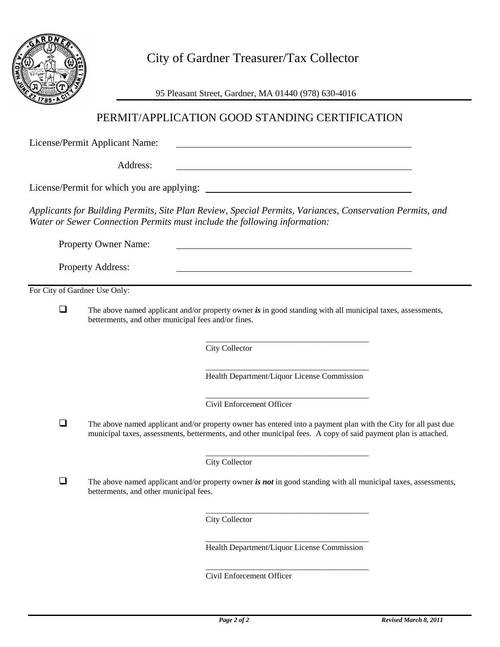

City of Gardner Treasurer/Tax Collector

95 Pleasant Street, Gardner, MA 01440 (978) 630-4016

# PERMIT/APPLICATION GOOD STANDING CERTIFICATION

License/Permit Applicant Name:

Address:

License/Permit for which you are applying:

*Applicants for Building Permits, Site Plan Review, Special Permits, Variances, Conservation Permits, and Water or Sewer Connection Permits must include the following information:*

Property Owner Name:

Property Address:

For City of Gardner Use Only:

 The above named applicant and/or property owner *is* in good standing with all municipal taxes, assessments, betterments, and other municipal fees and/or fines.

> \_\_\_\_\_\_\_\_\_\_\_\_\_\_\_\_\_\_\_\_\_\_\_\_\_\_\_\_\_\_\_\_\_\_\_\_\_\_\_\_ City Collector

> \_\_\_\_\_\_\_\_\_\_\_\_\_\_\_\_\_\_\_\_\_\_\_\_\_\_\_\_\_\_\_\_\_\_\_\_\_\_\_\_ Health Department/Liquor License Commission

<u> 1980 - Johann Barn, mars ann an t-Amhain Aonaich an t-Aonaich an t-Aonaich ann an t-Aonaich ann an t-Aonaich</u>

\_\_\_\_\_\_\_\_\_\_\_\_\_\_\_\_\_\_\_\_\_\_\_\_\_\_\_\_\_\_\_\_\_\_\_\_\_\_\_\_ Civil Enforcement Officer

 $\Box$  The above named applicant and/or property owner has entered into a payment plan with the City for all past due municipal taxes, assessments, betterments, and other municipal fees. A copy of said payment plan is attached.

> \_\_\_\_\_\_\_\_\_\_\_\_\_\_\_\_\_\_\_\_\_\_\_\_\_\_\_\_\_\_\_\_\_\_\_\_\_\_\_\_ City Collector

 $\Box$  The above named applicant and/or property owner *is not* in good standing with all municipal taxes, assessments, betterments, and other municipal fees.

> \_\_\_\_\_\_\_\_\_\_\_\_\_\_\_\_\_\_\_\_\_\_\_\_\_\_\_\_\_\_\_\_\_\_\_\_\_\_\_\_ City Collector

> \_\_\_\_\_\_\_\_\_\_\_\_\_\_\_\_\_\_\_\_\_\_\_\_\_\_\_\_\_\_\_\_\_\_\_\_\_\_\_\_ Health Department/Liquor License Commission

> \_\_\_\_\_\_\_\_\_\_\_\_\_\_\_\_\_\_\_\_\_\_\_\_\_\_\_\_\_\_\_\_\_\_\_\_\_\_\_\_

Civil Enforcement Officer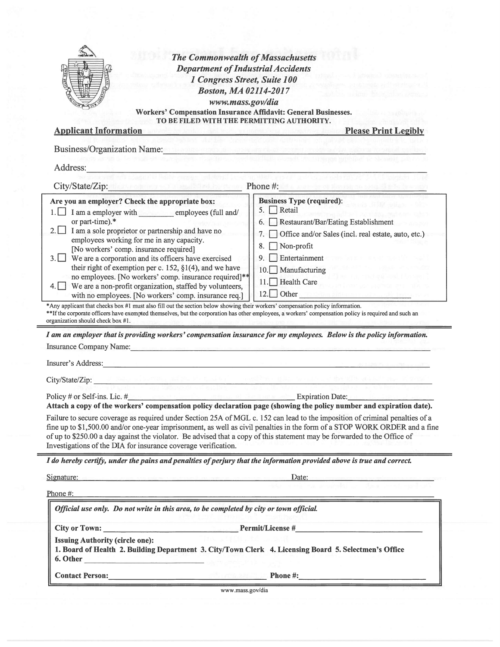|                                                                                                                                                                                                                                                                                                                                                                                                                                                                                                                                                                                                                                                                                                                                                                                                                                                                                                                                                                                                                                                                                                                                                                                                                                                                                                                                                                                                                                                                                                                                                                                                                                                                                                                                                                                                | <b>Department of Industrial Accidents</b><br>1 Congress Street, Suite 100                                                                  |
|------------------------------------------------------------------------------------------------------------------------------------------------------------------------------------------------------------------------------------------------------------------------------------------------------------------------------------------------------------------------------------------------------------------------------------------------------------------------------------------------------------------------------------------------------------------------------------------------------------------------------------------------------------------------------------------------------------------------------------------------------------------------------------------------------------------------------------------------------------------------------------------------------------------------------------------------------------------------------------------------------------------------------------------------------------------------------------------------------------------------------------------------------------------------------------------------------------------------------------------------------------------------------------------------------------------------------------------------------------------------------------------------------------------------------------------------------------------------------------------------------------------------------------------------------------------------------------------------------------------------------------------------------------------------------------------------------------------------------------------------------------------------------------------------|--------------------------------------------------------------------------------------------------------------------------------------------|
|                                                                                                                                                                                                                                                                                                                                                                                                                                                                                                                                                                                                                                                                                                                                                                                                                                                                                                                                                                                                                                                                                                                                                                                                                                                                                                                                                                                                                                                                                                                                                                                                                                                                                                                                                                                                | <b>Boston, MA 02114-2017</b>                                                                                                               |
|                                                                                                                                                                                                                                                                                                                                                                                                                                                                                                                                                                                                                                                                                                                                                                                                                                                                                                                                                                                                                                                                                                                                                                                                                                                                                                                                                                                                                                                                                                                                                                                                                                                                                                                                                                                                | www.mass.gov/dia                                                                                                                           |
|                                                                                                                                                                                                                                                                                                                                                                                                                                                                                                                                                                                                                                                                                                                                                                                                                                                                                                                                                                                                                                                                                                                                                                                                                                                                                                                                                                                                                                                                                                                                                                                                                                                                                                                                                                                                | Workers' Compensation Insurance Affidavit: General Businesses.                                                                             |
| <b>Applicant Information</b>                                                                                                                                                                                                                                                                                                                                                                                                                                                                                                                                                                                                                                                                                                                                                                                                                                                                                                                                                                                                                                                                                                                                                                                                                                                                                                                                                                                                                                                                                                                                                                                                                                                                                                                                                                   | TO BE FILED WITH THE PERMITTING AUTHORITY.<br><b>Please Print Legibly</b><br>At the anticol state horizontal displacement in state funding |
|                                                                                                                                                                                                                                                                                                                                                                                                                                                                                                                                                                                                                                                                                                                                                                                                                                                                                                                                                                                                                                                                                                                                                                                                                                                                                                                                                                                                                                                                                                                                                                                                                                                                                                                                                                                                |                                                                                                                                            |
| <b>Business/Organization Name:</b> Name:                                                                                                                                                                                                                                                                                                                                                                                                                                                                                                                                                                                                                                                                                                                                                                                                                                                                                                                                                                                                                                                                                                                                                                                                                                                                                                                                                                                                                                                                                                                                                                                                                                                                                                                                                       |                                                                                                                                            |
| Address:                                                                                                                                                                                                                                                                                                                                                                                                                                                                                                                                                                                                                                                                                                                                                                                                                                                                                                                                                                                                                                                                                                                                                                                                                                                                                                                                                                                                                                                                                                                                                                                                                                                                                                                                                                                       |                                                                                                                                            |
| City/State/Zip: New York and March 1982 and Phone #: 1983 and 2009 and 2009 and 2009                                                                                                                                                                                                                                                                                                                                                                                                                                                                                                                                                                                                                                                                                                                                                                                                                                                                                                                                                                                                                                                                                                                                                                                                                                                                                                                                                                                                                                                                                                                                                                                                                                                                                                           |                                                                                                                                            |
| Are you an employer? Check the appropriate box:                                                                                                                                                                                                                                                                                                                                                                                                                                                                                                                                                                                                                                                                                                                                                                                                                                                                                                                                                                                                                                                                                                                                                                                                                                                                                                                                                                                                                                                                                                                                                                                                                                                                                                                                                | <b>Business Type (required):</b>                                                                                                           |
| I am a employer with employees (full and/                                                                                                                                                                                                                                                                                                                                                                                                                                                                                                                                                                                                                                                                                                                                                                                                                                                                                                                                                                                                                                                                                                                                                                                                                                                                                                                                                                                                                                                                                                                                                                                                                                                                                                                                                      | 5. Retail                                                                                                                                  |
| or part-time).*                                                                                                                                                                                                                                                                                                                                                                                                                                                                                                                                                                                                                                                                                                                                                                                                                                                                                                                                                                                                                                                                                                                                                                                                                                                                                                                                                                                                                                                                                                                                                                                                                                                                                                                                                                                | Restaurant/Bar/Eating Establishment<br>6.                                                                                                  |
| I am a sole proprietor or partnership and have no<br>$2.1 \perp$                                                                                                                                                                                                                                                                                                                                                                                                                                                                                                                                                                                                                                                                                                                                                                                                                                                                                                                                                                                                                                                                                                                                                                                                                                                                                                                                                                                                                                                                                                                                                                                                                                                                                                                               | Office and/or Sales (incl. real estate, auto, etc.)<br>7.                                                                                  |
| employees working for me in any capacity.<br>[No workers' comp. insurance required]                                                                                                                                                                                                                                                                                                                                                                                                                                                                                                                                                                                                                                                                                                                                                                                                                                                                                                                                                                                                                                                                                                                                                                                                                                                                                                                                                                                                                                                                                                                                                                                                                                                                                                            | Non-profit<br>8.                                                                                                                           |
| We are a corporation and its officers have exercised<br>$3.1 \perp$                                                                                                                                                                                                                                                                                                                                                                                                                                                                                                                                                                                                                                                                                                                                                                                                                                                                                                                                                                                                                                                                                                                                                                                                                                                                                                                                                                                                                                                                                                                                                                                                                                                                                                                            | Entertainment<br>9.                                                                                                                        |
| their right of exemption per c. 152, $\S1(4)$ , and we have                                                                                                                                                                                                                                                                                                                                                                                                                                                                                                                                                                                                                                                                                                                                                                                                                                                                                                                                                                                                                                                                                                                                                                                                                                                                                                                                                                                                                                                                                                                                                                                                                                                                                                                                    | $10.$ Manufacturing                                                                                                                        |
| no employees. [No workers' comp. insurance required]**                                                                                                                                                                                                                                                                                                                                                                                                                                                                                                                                                                                                                                                                                                                                                                                                                                                                                                                                                                                                                                                                                                                                                                                                                                                                                                                                                                                                                                                                                                                                                                                                                                                                                                                                         | 11. Health Care                                                                                                                            |
| We are a non-profit organization, staffed by volunteers,<br>with no employees. [No workers' comp. insurance req.]                                                                                                                                                                                                                                                                                                                                                                                                                                                                                                                                                                                                                                                                                                                                                                                                                                                                                                                                                                                                                                                                                                                                                                                                                                                                                                                                                                                                                                                                                                                                                                                                                                                                              |                                                                                                                                            |
|                                                                                                                                                                                                                                                                                                                                                                                                                                                                                                                                                                                                                                                                                                                                                                                                                                                                                                                                                                                                                                                                                                                                                                                                                                                                                                                                                                                                                                                                                                                                                                                                                                                                                                                                                                                                |                                                                                                                                            |
|                                                                                                                                                                                                                                                                                                                                                                                                                                                                                                                                                                                                                                                                                                                                                                                                                                                                                                                                                                                                                                                                                                                                                                                                                                                                                                                                                                                                                                                                                                                                                                                                                                                                                                                                                                                                | 12. Other                                                                                                                                  |
|                                                                                                                                                                                                                                                                                                                                                                                                                                                                                                                                                                                                                                                                                                                                                                                                                                                                                                                                                                                                                                                                                                                                                                                                                                                                                                                                                                                                                                                                                                                                                                                                                                                                                                                                                                                                |                                                                                                                                            |
|                                                                                                                                                                                                                                                                                                                                                                                                                                                                                                                                                                                                                                                                                                                                                                                                                                                                                                                                                                                                                                                                                                                                                                                                                                                                                                                                                                                                                                                                                                                                                                                                                                                                                                                                                                                                |                                                                                                                                            |
|                                                                                                                                                                                                                                                                                                                                                                                                                                                                                                                                                                                                                                                                                                                                                                                                                                                                                                                                                                                                                                                                                                                                                                                                                                                                                                                                                                                                                                                                                                                                                                                                                                                                                                                                                                                                |                                                                                                                                            |
|                                                                                                                                                                                                                                                                                                                                                                                                                                                                                                                                                                                                                                                                                                                                                                                                                                                                                                                                                                                                                                                                                                                                                                                                                                                                                                                                                                                                                                                                                                                                                                                                                                                                                                                                                                                                |                                                                                                                                            |
|                                                                                                                                                                                                                                                                                                                                                                                                                                                                                                                                                                                                                                                                                                                                                                                                                                                                                                                                                                                                                                                                                                                                                                                                                                                                                                                                                                                                                                                                                                                                                                                                                                                                                                                                                                                                |                                                                                                                                            |
|                                                                                                                                                                                                                                                                                                                                                                                                                                                                                                                                                                                                                                                                                                                                                                                                                                                                                                                                                                                                                                                                                                                                                                                                                                                                                                                                                                                                                                                                                                                                                                                                                                                                                                                                                                                                |                                                                                                                                            |
| $m_{\rm Pl}$ is because and be a set of $m_{\rm Pl}$ , and $m_{\rm Pl}$ , while                                                                                                                                                                                                                                                                                                                                                                                                                                                                                                                                                                                                                                                                                                                                                                                                                                                                                                                                                                                                                                                                                                                                                                                                                                                                                                                                                                                                                                                                                                                                                                                                                                                                                                                |                                                                                                                                            |
|                                                                                                                                                                                                                                                                                                                                                                                                                                                                                                                                                                                                                                                                                                                                                                                                                                                                                                                                                                                                                                                                                                                                                                                                                                                                                                                                                                                                                                                                                                                                                                                                                                                                                                                                                                                                | Expiration Date:                                                                                                                           |
|                                                                                                                                                                                                                                                                                                                                                                                                                                                                                                                                                                                                                                                                                                                                                                                                                                                                                                                                                                                                                                                                                                                                                                                                                                                                                                                                                                                                                                                                                                                                                                                                                                                                                                                                                                                                |                                                                                                                                            |
|                                                                                                                                                                                                                                                                                                                                                                                                                                                                                                                                                                                                                                                                                                                                                                                                                                                                                                                                                                                                                                                                                                                                                                                                                                                                                                                                                                                                                                                                                                                                                                                                                                                                                                                                                                                                |                                                                                                                                            |
|                                                                                                                                                                                                                                                                                                                                                                                                                                                                                                                                                                                                                                                                                                                                                                                                                                                                                                                                                                                                                                                                                                                                                                                                                                                                                                                                                                                                                                                                                                                                                                                                                                                                                                                                                                                                |                                                                                                                                            |
|                                                                                                                                                                                                                                                                                                                                                                                                                                                                                                                                                                                                                                                                                                                                                                                                                                                                                                                                                                                                                                                                                                                                                                                                                                                                                                                                                                                                                                                                                                                                                                                                                                                                                                                                                                                                |                                                                                                                                            |
|                                                                                                                                                                                                                                                                                                                                                                                                                                                                                                                                                                                                                                                                                                                                                                                                                                                                                                                                                                                                                                                                                                                                                                                                                                                                                                                                                                                                                                                                                                                                                                                                                                                                                                                                                                                                | fine up to \$1,500.00 and/or one-year imprisonment, as well as civil penalties in the form of a STOP WORK ORDER and a fine                 |
|                                                                                                                                                                                                                                                                                                                                                                                                                                                                                                                                                                                                                                                                                                                                                                                                                                                                                                                                                                                                                                                                                                                                                                                                                                                                                                                                                                                                                                                                                                                                                                                                                                                                                                                                                                                                | Date:                                                                                                                                      |
|                                                                                                                                                                                                                                                                                                                                                                                                                                                                                                                                                                                                                                                                                                                                                                                                                                                                                                                                                                                                                                                                                                                                                                                                                                                                                                                                                                                                                                                                                                                                                                                                                                                                                                                                                                                                |                                                                                                                                            |
| Official use only. Do not write in this area, to be completed by city or town official.                                                                                                                                                                                                                                                                                                                                                                                                                                                                                                                                                                                                                                                                                                                                                                                                                                                                                                                                                                                                                                                                                                                                                                                                                                                                                                                                                                                                                                                                                                                                                                                                                                                                                                        |                                                                                                                                            |
|                                                                                                                                                                                                                                                                                                                                                                                                                                                                                                                                                                                                                                                                                                                                                                                                                                                                                                                                                                                                                                                                                                                                                                                                                                                                                                                                                                                                                                                                                                                                                                                                                                                                                                                                                                                                |                                                                                                                                            |
| <b>Issuing Authority (circle one):</b>                                                                                                                                                                                                                                                                                                                                                                                                                                                                                                                                                                                                                                                                                                                                                                                                                                                                                                                                                                                                                                                                                                                                                                                                                                                                                                                                                                                                                                                                                                                                                                                                                                                                                                                                                         |                                                                                                                                            |
| *Any applicant that checks box #1 must also fill out the section below showing their workers' compensation policy information.<br>**If the corporate officers have exempted themselves, but the corporation has other employees, a workers' compensation policy is required and such an<br>organization should check box #1.<br>I am an employer that is providing workers' compensation insurance for my employees. Below is the policy information.<br>Insurance Company Name: Name: 1986 and 2008. The Company Name: 1986. The Company Name: 1987. The Company Name: 1987. The Company Name: 1987. The Company Name: 1988. The Company Name: 1988. The Company Name: 1988. The Compa<br>Insurer's Address: National Communication of the Communication of the Communication of the Communication of the Communication of the Communication of the Communication of the Communication of the Communication of the Commu<br>City/State/Zip:<br>Policy # or Self-ins. Lic. $#$<br>Attach a copy of the workers' compensation policy declaration page (showing the policy number and expiration date).<br>Failure to secure coverage as required under Section 25A of MGL c. 152 can lead to the imposition of criminal penalties of a<br>of up to \$250.00 a day against the violator. Be advised that a copy of this statement may be forwarded to the Office of<br>Investigations of the DIA for insurance coverage verification.<br>I do hereby certify, under the pains and penalties of perjury that the information provided above is true and correct.<br>Signature: Expression of the space of the state of the state of the state of the state of<br>Phone $#$ :<br>1. Board of Health 2. Building Department 3. City/Town Clerk 4. Licensing Board 5. Selectmen's Office<br>6. Other |                                                                                                                                            |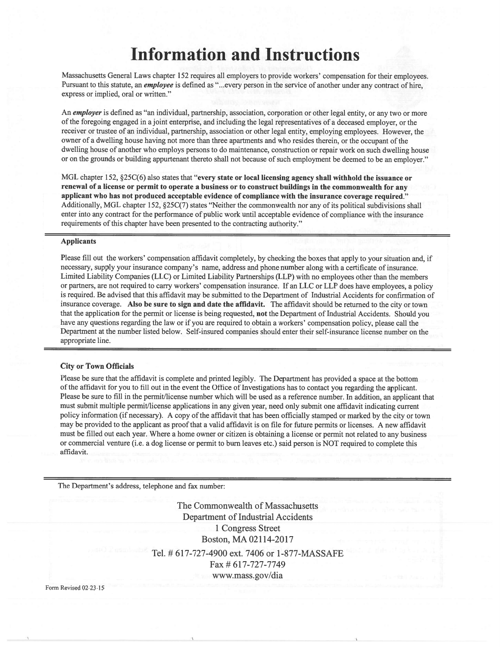# **Information and Instructions**

Massachusetts General Laws chapter 152 requires all employers to provide workers' compensation for their employees. Pursuant to this statute, an *employee* is defined as "...every person in the service of another under any contract of hire, express or implied, oral or written."

An employer is defined as "an individual, partnership, association, corporation or other legal entity, or any two or more of the foregoing engaged in a joint enterprise, and including the legal representatives of a deceased employer, or the receiver or trustee of an individual, partnership, association or other legal entity, employing employees. However, the owner of a dwelling house having not more than three apartments and who resides therein, or the occupant of the dwelling house of another who employs persons to do maintenance, construction or repair work on such dwelling house or on the grounds or building appurtenant thereto shall not because of such employment be deemed to be an employer."

MGL chapter 152, §25C(6) also states that "every state or local licensing agency shall withhold the issuance or renewal of a license or permit to operate a business or to construct buildings in the commonwealth for any applicant who has not produced acceptable evidence of compliance with the insurance coverage required." Additionally, MGL chapter 152, §25C(7) states "Neither the commonwealth nor any of its political subdivisions shall enter into any contract for the performance of public work until acceptable evidence of compliance with the insurance requirements of this chapter have been presented to the contracting authority."

#### **Applicants**

Please fill out the workers' compensation affidavit completely, by checking the boxes that apply to your situation and, if necessary, supply your insurance company's name, address and phone number along with a certificate of insurance. Limited Liability Companies (LLC) or Limited Liability Partnerships (LLP) with no employees other than the members or partners, are not required to carry workers' compensation insurance. If an LLC or LLP does have employees, a policy is required. Be advised that this affidavit may be submitted to the Department of Industrial Accidents for confirmation of insurance coverage. Also be sure to sign and date the affidavit. The affidavit should be returned to the city or town that the application for the permit or license is being requested, not the Department of Industrial Accidents. Should you have any questions regarding the law or if you are required to obtain a workers' compensation policy, please call the Department at the number listed below. Self-insured companies should enter their self-insurance license number on the appropriate line.

#### **City or Town Officials**

Please be sure that the affidavit is complete and printed legibly. The Department has provided a space at the bottom of the affidavit for you to fill out in the event the Office of Investigations has to contact you regarding the applicant. Please be sure to fill in the permit/license number which will be used as a reference number. In addition, an applicant that must submit multiple permit/license applications in any given year, need only submit one affidavit indicating current policy information (if necessary). A copy of the affidavit that has been officially stamped or marked by the city or town may be provided to the applicant as proof that a valid affidavit is on file for future permits or licenses. A new affidavit must be filled out each year. Where a home owner or citizen is obtaining a license or permit not related to any business or commercial venture (i.e. a dog license or permit to burn leaves etc.) said person is NOT required to complete this affidavit.

The Department's address, telephone and fax number:

The Commonwealth of Massachusetts **Department of Industrial Accidents** 1 Congress Street Boston, MA 02114-2017 Tel. # 617-727-4900 ext. 7406 or 1-877-MASSAFE Fax # 617-727-7749 www.mass.gov/dia

Form Revised 02-23-15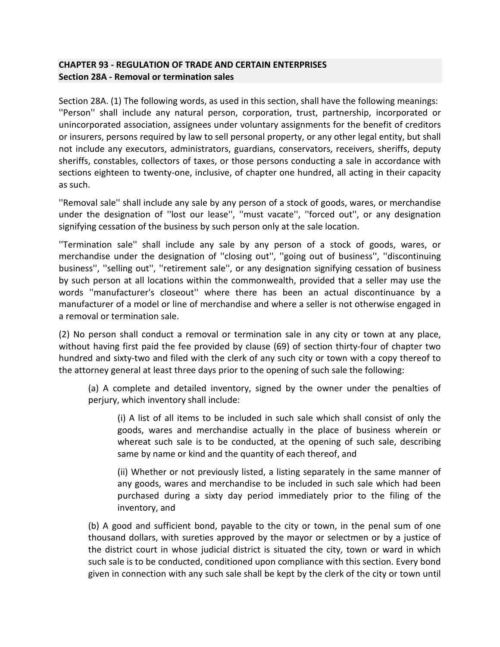### **CHAPTER 93 - [REGULATION OF TRADE AND CERTAIN ENTERPRISES](https://malegislature.gov/Laws/GeneralLaws/PartI/TitleXV/Chapter93) Section 28A - Removal [or termination sales](https://malegislature.gov/Laws/GeneralLaws/PartI/TitleXV/Chapter93/Section28A)**

Section 28A. (1) The following words, as used in this section, shall have the following meanings: ''Person'' shall include any natural person, corporation, trust, partnership, incorporated or unincorporated association, assignees under voluntary assignments for the benefit of creditors or insurers, persons required by law to sell personal property, or any other legal entity, but shall not include any executors, administrators, guardians, conservators, receivers, sheriffs, deputy sheriffs, constables, collectors of taxes, or those persons conducting a sale in accordance with sections eighteen to twenty-one, inclusive, of chapter one hundred, all acting in their capacity as such.

''Removal sale'' shall include any sale by any person of a stock of goods, wares, or merchandise under the designation of ''lost our lease'', ''must vacate'', ''forced out'', or any designation signifying cessation of the business by such person only at the sale location.

''Termination sale'' shall include any sale by any person of a stock of goods, wares, or merchandise under the designation of ''closing out'', ''going out of business'', ''discontinuing business'', ''selling out'', ''retirement sale'', or any designation signifying cessation of business by such person at all locations within the commonwealth, provided that a seller may use the words ''manufacturer's closeout'' where there has been an actual discontinuance by a manufacturer of a model or line of merchandise and where a seller is not otherwise engaged in a removal or termination sale.

(2) No person shall conduct a removal or termination sale in any city or town at any place, without having first paid the fee provided by clause (69) of section thirty-four of chapter two hundred and sixty-two and filed with the clerk of any such city or town with a copy thereof to the attorney general at least three days prior to the opening of such sale the following:

(a) A complete and detailed inventory, signed by the owner under the penalties of perjury, which inventory shall include:

(i) A list of all items to be included in such sale which shall consist of only the goods, wares and merchandise actually in the place of business wherein or whereat such sale is to be conducted, at the opening of such sale, describing same by name or kind and the quantity of each thereof, and

(ii) Whether or not previously listed, a listing separately in the same manner of any goods, wares and merchandise to be included in such sale which had been purchased during a sixty day period immediately prior to the filing of the inventory, and

(b) A good and sufficient bond, payable to the city or town, in the penal sum of one thousand dollars, with sureties approved by the mayor or selectmen or by a justice of the district court in whose judicial district is situated the city, town or ward in which such sale is to be conducted, conditioned upon compliance with this section. Every bond given in connection with any such sale shall be kept by the clerk of the city or town until